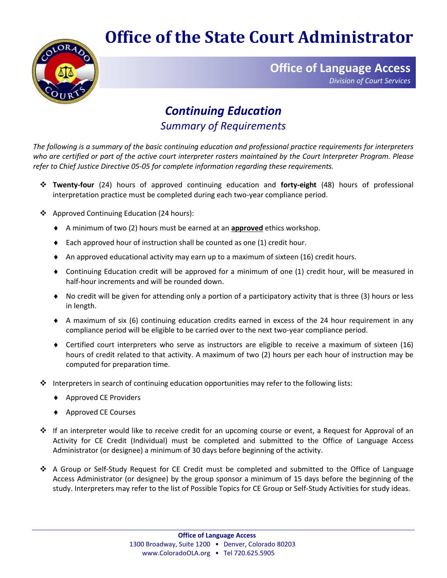## **Office of the State Court Administrator**



**Office of Language Access** *Division of Court Services*

## *Continuing Education Summary of Requirements*

*The following is a summary of the basic continuing education and professional practice requirements for interpreters who are certified or part of the active court interpreter rosters maintained by the Court Interpreter Program. Please refer to Chief Justice Directive 05-05 for complete information regarding these requirements.* 

- ❖ **Twenty-four** (24) hours of approved continuing education and **forty-eight** (48) hours of professional interpretation practice must be completed during each two-year compliance period.
- ❖ Approved Continuing Education (24 hours):
	- A minimum of two (2) hours must be earned at an **approved** ethics workshop.
	- $\bullet$  Each approved hour of instruction shall be counted as one (1) credit hour.
	- $\blacklozenge$  An approved educational activity may earn up to a maximum of sixteen (16) credit hours.
	- Continuing Education credit will be approved for a minimum of one (1) credit hour, will be measured in half-hour increments and will be rounded down.
	- No credit will be given for attending only a portion of a participatory activity that is three (3) hours or less in length.
	- A maximum of six (6) continuing education credits earned in excess of the 24 hour requirement in any compliance period will be eligible to be carried over to the next two-year compliance period.
	- Certified court interpreters who serve as instructors are eligible to receive a maximum of sixteen (16) hours of credit related to that activity. A maximum of two (2) hours per each hour of instruction may be computed for preparation time.
- $\clubsuit$  Interpreters in search of continuing education opportunities may refer to the following lists:
	- ◆ Approved CE Providers
	- ◆ Approved CE Courses
- ❖ If an interpreter would like to receive credit for an upcoming course or event, a Request for Approval of an Activity for CE Credit (Individual) must be completed and submitted to the Office of Language Access Administrator (or designee) a minimum of 30 days before beginning of the activity.
- ❖ A Group or Self-Study Request for CE Credit must be completed and submitted to the Office of Language Access Administrator (or designee) by the group sponsor a minimum of 15 days before the beginning of the study. Interpreters may refer to the list of Possible Topics for CE Group or Self-Study Activities for study ideas.